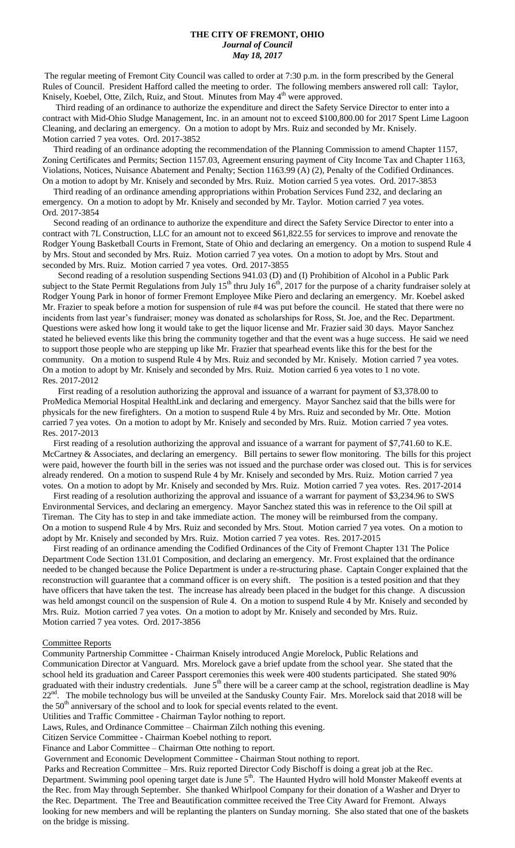#### **THE CITY OF FREMONT, OHIO** *Journal of Council May 18, 2017*

The regular meeting of Fremont City Council was called to order at 7:30 p.m. in the form prescribed by the General Rules of Council. President Hafford called the meeting to order. The following members answered roll call: Taylor, Knisely, Koebel, Otte, Zilch, Ruiz, and Stout. Minutes from May 4<sup>th</sup> were approved.

 Third reading of an ordinance to authorize the expenditure and direct the Safety Service Director to enter into a contract with Mid-Ohio Sludge Management, Inc. in an amount not to exceed \$100,800.00 for 2017 Spent Lime Lagoon Cleaning, and declaring an emergency. On a motion to adopt by Mrs. Ruiz and seconded by Mr. Knisely. Motion carried 7 yea votes. Ord. 2017-3852

 Third reading of an ordinance adopting the recommendation of the Planning Commission to amend Chapter 1157, Zoning Certificates and Permits; Section 1157.03, Agreement ensuring payment of City Income Tax and Chapter 1163, Violations, Notices, Nuisance Abatement and Penalty; Section 1163.99 (A) (2), Penalty of the Codified Ordinances. On a motion to adopt by Mr. Knisely and seconded by Mrs. Ruiz. Motion carried 5 yea votes. Ord. 2017-3853

 Third reading of an ordinance amending appropriations within Probation Services Fund 232, and declaring an emergency. On a motion to adopt by Mr. Knisely and seconded by Mr. Taylor. Motion carried 7 yea votes. Ord. 2017-3854

 Second reading of an ordinance to authorize the expenditure and direct the Safety Service Director to enter into a contract with 7L Construction, LLC for an amount not to exceed \$61,822.55 for services to improve and renovate the Rodger Young Basketball Courts in Fremont, State of Ohio and declaring an emergency. On a motion to suspend Rule 4 by Mrs. Stout and seconded by Mrs. Ruiz. Motion carried 7 yea votes. On a motion to adopt by Mrs. Stout and seconded by Mrs. Ruiz. Motion carried 7 yea votes. Ord. 2017-3855

 Second reading of a resolution suspending Sections 941.03 (D) and (I) Prohibition of Alcohol in a Public Park subject to the State Permit Regulations from July  $15<sup>th</sup>$  thru July  $16<sup>th</sup>$ , 2017 for the purpose of a charity fundraiser solely at Rodger Young Park in honor of former Fremont Employee Mike Piero and declaring an emergency. Mr. Koebel asked Mr. Frazier to speak before a motion for suspension of rule #4 was put before the council. He stated that there were no incidents from last year's fundraiser; money was donated as scholarships for Ross, St. Joe, and the Rec. Department. Questions were asked how long it would take to get the liquor license and Mr. Frazier said 30 days. Mayor Sanchez stated he believed events like this bring the community together and that the event was a huge success. He said we need to support those people who are stepping up like Mr. Frazier that spearhead events like this for the best for the community. On a motion to suspend Rule 4 by Mrs. Ruiz and seconded by Mr. Knisely. Motion carried 7 yea votes. On a motion to adopt by Mr. Knisely and seconded by Mrs. Ruiz. Motion carried 6 yea votes to 1 no vote. Res. 2017-2012

 First reading of a resolution authorizing the approval and issuance of a warrant for payment of \$3,378.00 to ProMedica Memorial Hospital HealthLink and declaring and emergency. Mayor Sanchez said that the bills were for physicals for the new firefighters. On a motion to suspend Rule 4 by Mrs. Ruiz and seconded by Mr. Otte. Motion carried 7 yea votes. On a motion to adopt by Mr. Knisely and seconded by Mrs. Ruiz. Motion carried 7 yea votes. Res. 2017-2013

First reading of a resolution authorizing the approval and issuance of a warrant for payment of \$7,741.60 to K.E. McCartney & Associates, and declaring an emergency. Bill pertains to sewer flow monitoring. The bills for this project were paid, however the fourth bill in the series was not issued and the purchase order was closed out. This is for services already rendered. On a motion to suspend Rule 4 by Mr. Knisely and seconded by Mrs. Ruiz. Motion carried 7 yea votes. On a motion to adopt by Mr. Knisely and seconded by Mrs. Ruiz. Motion carried 7 yea votes. Res. 2017-2014

 First reading of a resolution authorizing the approval and issuance of a warrant for payment of \$3,234.96 to SWS Environmental Services, and declaring an emergency. Mayor Sanchez stated this was in reference to the Oil spill at Tireman. The City has to step in and take immediate action. The money will be reimbursed from the company. On a motion to suspend Rule 4 by Mrs. Ruiz and seconded by Mrs. Stout. Motion carried 7 yea votes. On a motion to adopt by Mr. Knisely and seconded by Mrs. Ruiz. Motion carried 7 yea votes. Res. 2017-2015

 First reading of an ordinance amending the Codified Ordinances of the City of Fremont Chapter 131 The Police Department Code Section 131.01 Composition, and declaring an emergency. Mr. Frost explained that the ordinance needed to be changed because the Police Department is under a re-structuring phase. Captain Conger explained that the reconstruction will guarantee that a command officer is on every shift. The position is a tested position and that they have officers that have taken the test. The increase has already been placed in the budget for this change. A discussion was held amongst council on the suspension of Rule 4. On a motion to suspend Rule 4 by Mr. Knisely and seconded by Mrs. Ruiz. Motion carried 7 yea votes. On a motion to adopt by Mr. Knisely and seconded by Mrs. Ruiz. Motion carried 7 yea votes. Ord. 2017-3856

#### Committee Reports

Community Partnership Committee - Chairman Knisely introduced Angie Morelock, Public Relations and Communication Director at Vanguard. Mrs. Morelock gave a brief update from the school year. She stated that the school held its graduation and Career Passport ceremonies this week were 400 students participated. She stated 90% graduated with their industry credentials. June 5<sup>th</sup> there will be a career camp at the school, registration deadline is May 22<sup>nd</sup>. The mobile technology bus will be unveiled at the Sandusky County Fair. Mrs. Morelock said that 2018 will be the  $50<sup>th</sup>$  anniversary of the school and to look for special events related to the event. Utilities and Traffic Committee - Chairman Taylor nothing to report.

Laws, Rules, and Ordinance Committee – Chairman Zilch nothing this evening.

Citizen Service Committee - Chairman Koebel nothing to report.

Finance and Labor Committee – Chairman Otte nothing to report.

Government and Economic Development Committee - Chairman Stout nothing to report.

Parks and Recreation Committee – Mrs. Ruiz reported Director Cody Bischoff is doing a great job at the Rec. Department. Swimming pool opening target date is June 5<sup>th</sup>. The Haunted Hydro will hold Monster Makeoff events at the Rec. from May through September. She thanked Whirlpool Company for their donation of a Washer and Dryer to the Rec. Department. The Tree and Beautification committee received the Tree City Award for Fremont. Always looking for new members and will be replanting the planters on Sunday morning. She also stated that one of the baskets on the bridge is missing.